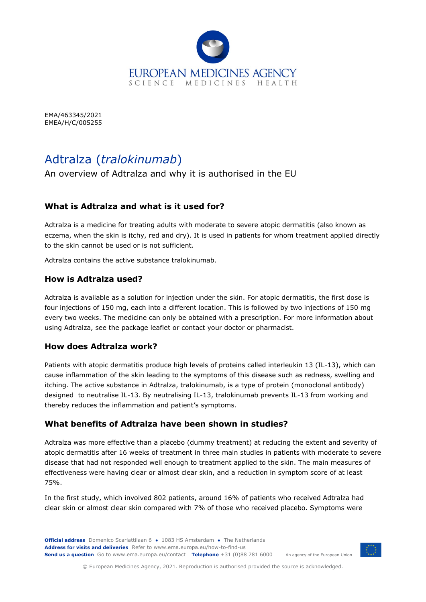

EMA/463345/2021 EMEA/H/C/005255

# Adtralza (*tralokinumab*)

An overview of Adtralza and why it is authorised in the EU

## **What is Adtralza and what is it used for?**

Adtralza is a medicine for treating adults with moderate to severe atopic dermatitis (also known as eczema, when the skin is itchy, red and dry). It is used in patients for whom treatment applied directly to the skin cannot be used or is not sufficient.

Adtralza contains the active substance tralokinumab.

#### **How is Adtralza used?**

Adtralza is available as a solution for injection under the skin. For atopic dermatitis, the first dose is four injections of 150 mg, each into a different location. This is followed by two injections of 150 mg every two weeks. The medicine can only be obtained with a prescription. For more information about using Adtralza, see the package leaflet or contact your doctor or pharmacist.

#### **How does Adtralza work?**

Patients with atopic dermatitis produce high levels of proteins called interleukin 13 (IL-13), which can cause inflammation of the skin leading to the symptoms of this disease such as redness, swelling and itching. The active substance in Adtralza, tralokinumab, is a type of protein (monoclonal antibody) designed to neutralise IL-13. By neutralising IL-13, tralokinumab prevents IL-13 from working and thereby reduces the inflammation and patient's symptoms.

#### **What benefits of Adtralza have been shown in studies?**

Adtralza was more effective than a placebo (dummy treatment) at reducing the extent and severity of atopic dermatitis after 16 weeks of treatment in three main studies in patients with moderate to severe disease that had not responded well enough to treatment applied to the skin. The main measures of effectiveness were having clear or almost clear skin, and a reduction in symptom score of at least 75%.

In the first study, which involved 802 patients, around 16% of patients who received Adtralza had clear skin or almost clear skin compared with 7% of those who received placebo. Symptoms were



© European Medicines Agency, 2021. Reproduction is authorised provided the source is acknowledged.